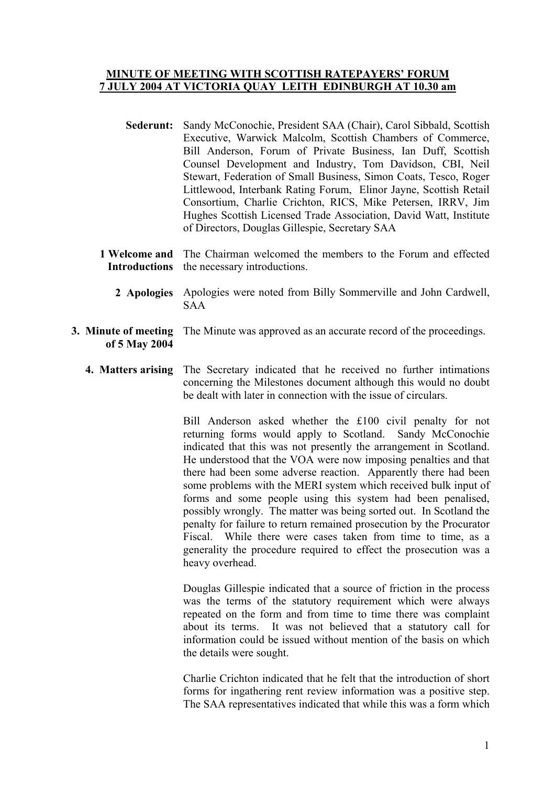## **MINUTE OF MEETING WITH SCOTTISH RATEPAYERS' FORUM 7 JULY 2004 AT VICTORIA QUAY LEITH EDINBURGH AT 10.30 am**

- **Sederunt:** Sandy McConochie, President SAA (Chair), Carol Sibbald, Scottish Executive, Warwick Malcolm, Scottish Chambers of Commerce, Bill Anderson, Forum of Private Business, Ian Duff, Scottish Counsel Development and Industry, Tom Davidson, CBI, Neil Stewart, Federation of Small Business, Simon Coats, Tesco, Roger Littlewood, Interbank Rating Forum, Elinor Jayne, Scottish Retail Consortium, Charlie Crichton, RICS, Mike Petersen, IRRV, Jim Hughes Scottish Licensed Trade Association, David Watt, Institute of Directors, Douglas Gillespie, Secretary SAA
- **1 Welcome and Introductions**  The Chairman welcomed the members to the Forum and effected the necessary introductions.
	- **2 Apologies** Apologies were noted from Billy Sommerville and John Cardwell, SAA
- **3. Minute of meeting of 5 May 2004**  The Minute was approved as an accurate record of the proceedings.
	- **4. Matters arising** The Secretary indicated that he received no further intimations concerning the Milestones document although this would no doubt be dealt with later in connection with the issue of circulars.

Bill Anderson asked whether the £100 civil penalty for not returning forms would apply to Scotland. Sandy McConochie indicated that this was not presently the arrangement in Scotland. He understood that the VOA were now imposing penalties and that there had been some adverse reaction. Apparently there had been some problems with the MERI system which received bulk input of forms and some people using this system had been penalised, possibly wrongly. The matter was being sorted out. In Scotland the penalty for failure to return remained prosecution by the Procurator Fiscal. While there were cases taken from time to time, as a generality the procedure required to effect the prosecution was a heavy overhead.

Douglas Gillespie indicated that a source of friction in the process was the terms of the statutory requirement which were always repeated on the form and from time to time there was complaint about its terms. It was not believed that a statutory call for information could be issued without mention of the basis on which the details were sought.

Charlie Crichton indicated that he felt that the introduction of short forms for ingathering rent review information was a positive step. The SAA representatives indicated that while this was a form which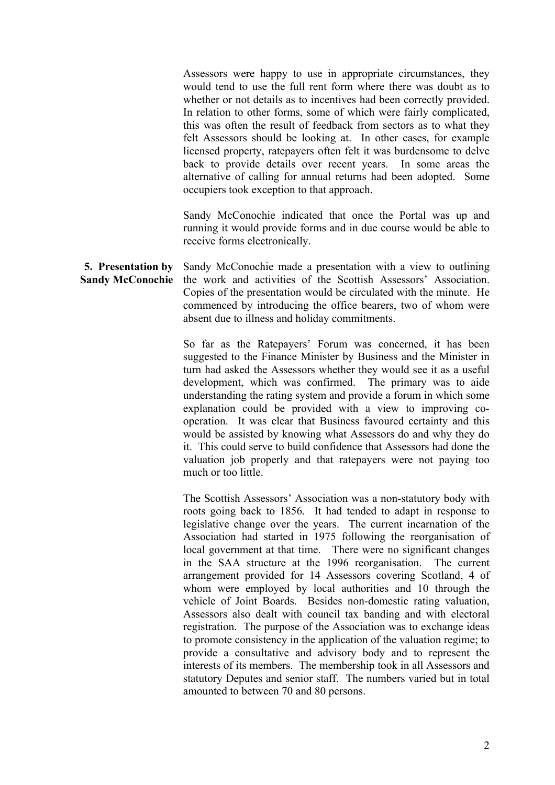Assessors were happy to use in appropriate circumstances, they would tend to use the full rent form where there was doubt as to whether or not details as to incentives had been correctly provided. In relation to other forms, some of which were fairly complicated, this was often the result of feedback from sectors as to what they felt Assessors should be looking at. In other cases, for example licensed property, ratepayers often felt it was burdensome to delve back to provide details over recent years. In some areas the alternative of calling for annual returns had been adopted. Some occupiers took exception to that approach.

Sandy McConochie indicated that once the Portal was up and running it would provide forms and in due course would be able to receive forms electronically.

**5. Presentation by Sandy McConochie**  Sandy McConochie made a presentation with a view to outlining the work and activities of the Scottish Assessors' Association. Copies of the presentation would be circulated with the minute. He commenced by introducing the office bearers, two of whom were absent due to illness and holiday commitments.

> So far as the Ratepayers' Forum was concerned, it has been suggested to the Finance Minister by Business and the Minister in turn had asked the Assessors whether they would see it as a useful development, which was confirmed. The primary was to aide understanding the rating system and provide a forum in which some explanation could be provided with a view to improving cooperation. It was clear that Business favoured certainty and this would be assisted by knowing what Assessors do and why they do it. This could serve to build confidence that Assessors had done the valuation job properly and that ratepayers were not paying too much or too little.

> The Scottish Assessors' Association was a non-statutory body with roots going back to 1856. It had tended to adapt in response to legislative change over the years. The current incarnation of the Association had started in 1975 following the reorganisation of local government at that time. There were no significant changes in the SAA structure at the 1996 reorganisation. The current arrangement provided for 14 Assessors covering Scotland, 4 of whom were employed by local authorities and 10 through the vehicle of Joint Boards. Besides non-domestic rating valuation, Assessors also dealt with council tax banding and with electoral registration. The purpose of the Association was to exchange ideas to promote consistency in the application of the valuation regime; to provide a consultative and advisory body and to represent the interests of its members. The membership took in all Assessors and statutory Deputes and senior staff. The numbers varied but in total amounted to between 70 and 80 persons.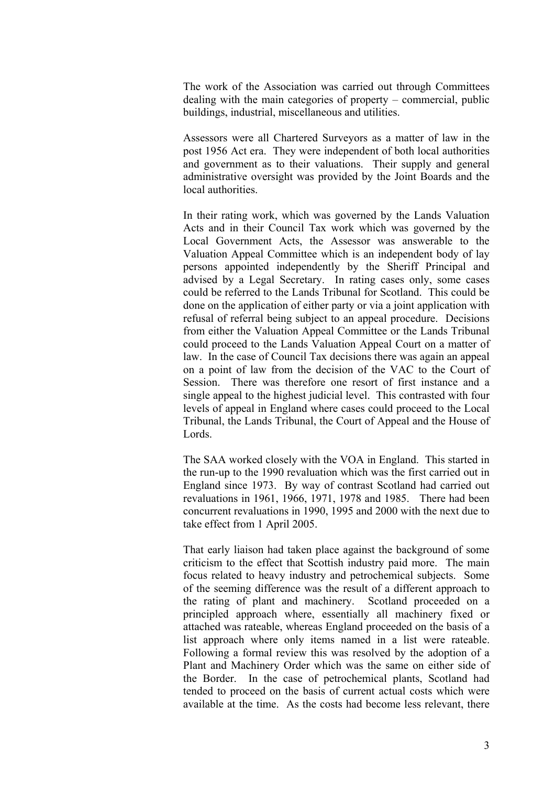The work of the Association was carried out through Committees dealing with the main categories of property – commercial, public buildings, industrial, miscellaneous and utilities.

Assessors were all Chartered Surveyors as a matter of law in the post 1956 Act era. They were independent of both local authorities and government as to their valuations. Their supply and general administrative oversight was provided by the Joint Boards and the local authorities.

In their rating work, which was governed by the Lands Valuation Acts and in their Council Tax work which was governed by the Local Government Acts, the Assessor was answerable to the Valuation Appeal Committee which is an independent body of lay persons appointed independently by the Sheriff Principal and advised by a Legal Secretary. In rating cases only, some cases could be referred to the Lands Tribunal for Scotland. This could be done on the application of either party or via a joint application with refusal of referral being subject to an appeal procedure. Decisions from either the Valuation Appeal Committee or the Lands Tribunal could proceed to the Lands Valuation Appeal Court on a matter of law. In the case of Council Tax decisions there was again an appeal on a point of law from the decision of the VAC to the Court of Session. There was therefore one resort of first instance and a single appeal to the highest judicial level. This contrasted with four levels of appeal in England where cases could proceed to the Local Tribunal, the Lands Tribunal, the Court of Appeal and the House of Lords.

The SAA worked closely with the VOA in England. This started in the run-up to the 1990 revaluation which was the first carried out in England since 1973. By way of contrast Scotland had carried out revaluations in 1961, 1966, 1971, 1978 and 1985. There had been concurrent revaluations in 1990, 1995 and 2000 with the next due to take effect from 1 April 2005.

That early liaison had taken place against the background of some criticism to the effect that Scottish industry paid more. The main focus related to heavy industry and petrochemical subjects. Some of the seeming difference was the result of a different approach to the rating of plant and machinery. Scotland proceeded on a principled approach where, essentially all machinery fixed or attached was rateable, whereas England proceeded on the basis of a list approach where only items named in a list were rateable. Following a formal review this was resolved by the adoption of a Plant and Machinery Order which was the same on either side of the Border. In the case of petrochemical plants, Scotland had tended to proceed on the basis of current actual costs which were available at the time. As the costs had become less relevant, there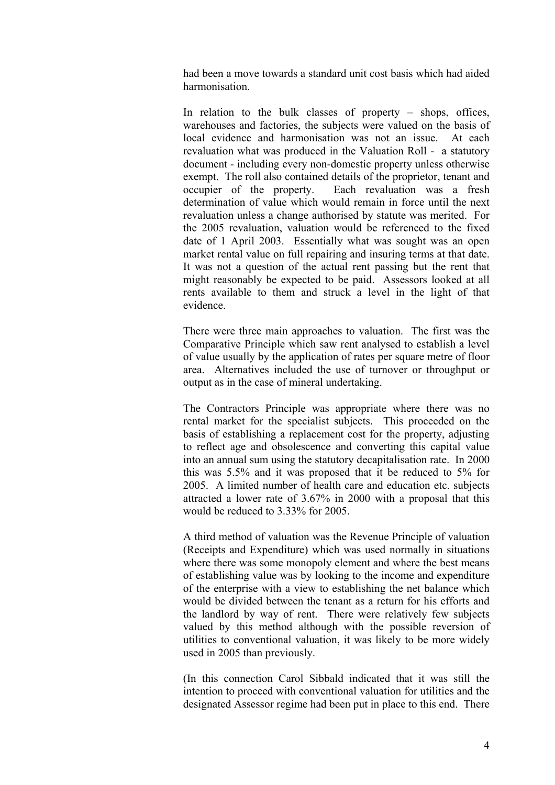had been a move towards a standard unit cost basis which had aided harmonisation.

In relation to the bulk classes of property – shops, offices, warehouses and factories, the subjects were valued on the basis of local evidence and harmonisation was not an issue. At each revaluation what was produced in the Valuation Roll - a statutory document - including every non-domestic property unless otherwise exempt. The roll also contained details of the proprietor, tenant and occupier of the property. Each revaluation was a fresh determination of value which would remain in force until the next revaluation unless a change authorised by statute was merited. For the 2005 revaluation, valuation would be referenced to the fixed date of 1 April 2003. Essentially what was sought was an open market rental value on full repairing and insuring terms at that date. It was not a question of the actual rent passing but the rent that might reasonably be expected to be paid. Assessors looked at all rents available to them and struck a level in the light of that evidence.

There were three main approaches to valuation. The first was the Comparative Principle which saw rent analysed to establish a level of value usually by the application of rates per square metre of floor area. Alternatives included the use of turnover or throughput or output as in the case of mineral undertaking.

The Contractors Principle was appropriate where there was no rental market for the specialist subjects. This proceeded on the basis of establishing a replacement cost for the property, adjusting to reflect age and obsolescence and converting this capital value into an annual sum using the statutory decapitalisation rate. In 2000 this was 5.5% and it was proposed that it be reduced to 5% for 2005. A limited number of health care and education etc. subjects attracted a lower rate of 3.67% in 2000 with a proposal that this would be reduced to 3.33% for 2005.

A third method of valuation was the Revenue Principle of valuation (Receipts and Expenditure) which was used normally in situations where there was some monopoly element and where the best means of establishing value was by looking to the income and expenditure of the enterprise with a view to establishing the net balance which would be divided between the tenant as a return for his efforts and the landlord by way of rent. There were relatively few subjects valued by this method although with the possible reversion of utilities to conventional valuation, it was likely to be more widely used in 2005 than previously.

(In this connection Carol Sibbald indicated that it was still the intention to proceed with conventional valuation for utilities and the designated Assessor regime had been put in place to this end. There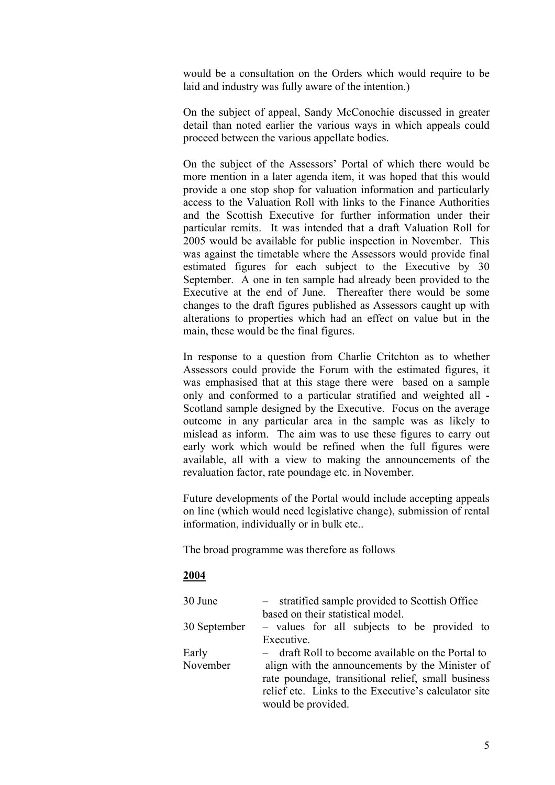would be a consultation on the Orders which would require to be laid and industry was fully aware of the intention.)

On the subject of appeal, Sandy McConochie discussed in greater detail than noted earlier the various ways in which appeals could proceed between the various appellate bodies.

On the subject of the Assessors' Portal of which there would be more mention in a later agenda item, it was hoped that this would provide a one stop shop for valuation information and particularly access to the Valuation Roll with links to the Finance Authorities and the Scottish Executive for further information under their particular remits. It was intended that a draft Valuation Roll for 2005 would be available for public inspection in November. This was against the timetable where the Assessors would provide final estimated figures for each subject to the Executive by 30 September. A one in ten sample had already been provided to the Executive at the end of June. Thereafter there would be some changes to the draft figures published as Assessors caught up with alterations to properties which had an effect on value but in the main, these would be the final figures.

In response to a question from Charlie Critchton as to whether Assessors could provide the Forum with the estimated figures, it was emphasised that at this stage there were based on a sample only and conformed to a particular stratified and weighted all - Scotland sample designed by the Executive. Focus on the average outcome in any particular area in the sample was as likely to mislead as inform. The aim was to use these figures to carry out early work which would be refined when the full figures were available, all with a view to making the announcements of the revaluation factor, rate poundage etc. in November.

Future developments of the Portal would include accepting appeals on line (which would need legislative change), submission of rental information, individually or in bulk etc..

The broad programme was therefore as follows

## **2004**

| 30 June      | - stratified sample provided to Scottish Office      |
|--------------|------------------------------------------------------|
|              | based on their statistical model.                    |
| 30 September | - values for all subjects to be provided to          |
|              | Executive.                                           |
| Early        | - draft Roll to become available on the Portal to    |
| November     | align with the announcements by the Minister of      |
|              | rate poundage, transitional relief, small business   |
|              | relief etc. Links to the Executive's calculator site |
|              | would be provided.                                   |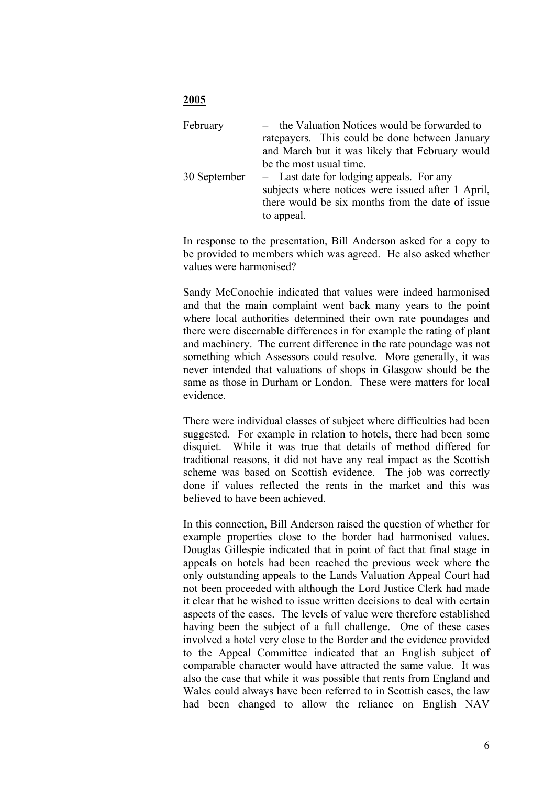## **2005**

| February     | - the Valuation Notices would be forwarded to<br>ratepayers. This could be done between January<br>and March but it was likely that February would<br>be the most usual time. |
|--------------|-------------------------------------------------------------------------------------------------------------------------------------------------------------------------------|
| 30 September | - Last date for lodging appeals. For any<br>subjects where notices were issued after 1 April,<br>there would be six months from the date of issue<br>to appeal.               |

In response to the presentation, Bill Anderson asked for a copy to be provided to members which was agreed. He also asked whether values were harmonised?

Sandy McConochie indicated that values were indeed harmonised and that the main complaint went back many years to the point where local authorities determined their own rate poundages and there were discernable differences in for example the rating of plant and machinery. The current difference in the rate poundage was not something which Assessors could resolve. More generally, it was never intended that valuations of shops in Glasgow should be the same as those in Durham or London. These were matters for local evidence.

There were individual classes of subject where difficulties had been suggested. For example in relation to hotels, there had been some disquiet. While it was true that details of method differed for traditional reasons, it did not have any real impact as the Scottish scheme was based on Scottish evidence. The job was correctly done if values reflected the rents in the market and this was believed to have been achieved.

In this connection, Bill Anderson raised the question of whether for example properties close to the border had harmonised values. Douglas Gillespie indicated that in point of fact that final stage in appeals on hotels had been reached the previous week where the only outstanding appeals to the Lands Valuation Appeal Court had not been proceeded with although the Lord Justice Clerk had made it clear that he wished to issue written decisions to deal with certain aspects of the cases. The levels of value were therefore established having been the subject of a full challenge. One of these cases involved a hotel very close to the Border and the evidence provided to the Appeal Committee indicated that an English subject of comparable character would have attracted the same value. It was also the case that while it was possible that rents from England and Wales could always have been referred to in Scottish cases, the law had been changed to allow the reliance on English NAV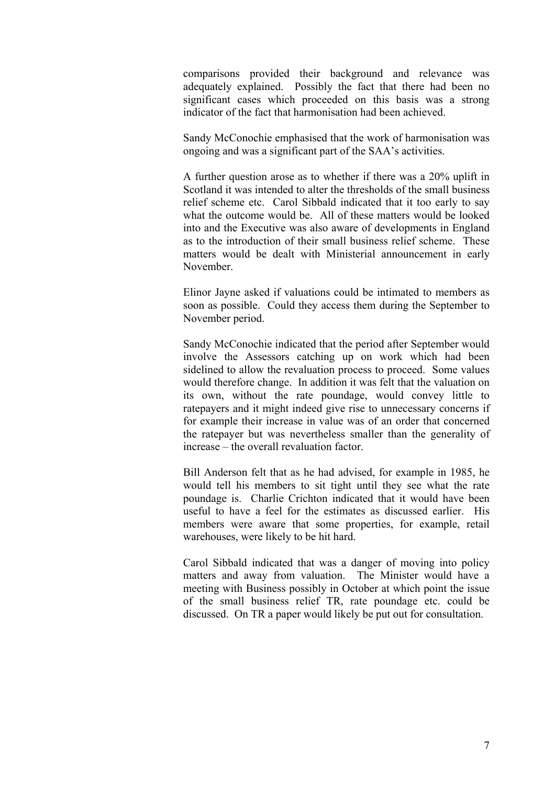comparisons provided their background and relevance was adequately explained. Possibly the fact that there had been no significant cases which proceeded on this basis was a strong indicator of the fact that harmonisation had been achieved.

Sandy McConochie emphasised that the work of harmonisation was ongoing and was a significant part of the SAA's activities.

A further question arose as to whether if there was a 20% uplift in Scotland it was intended to alter the thresholds of the small business relief scheme etc. Carol Sibbald indicated that it too early to say what the outcome would be. All of these matters would be looked into and the Executive was also aware of developments in England as to the introduction of their small business relief scheme. These matters would be dealt with Ministerial announcement in early November.

Elinor Jayne asked if valuations could be intimated to members as soon as possible. Could they access them during the September to November period.

Sandy McConochie indicated that the period after September would involve the Assessors catching up on work which had been sidelined to allow the revaluation process to proceed. Some values would therefore change. In addition it was felt that the valuation on its own, without the rate poundage, would convey little to ratepayers and it might indeed give rise to unnecessary concerns if for example their increase in value was of an order that concerned the ratepayer but was nevertheless smaller than the generality of increase – the overall revaluation factor.

Bill Anderson felt that as he had advised, for example in 1985, he would tell his members to sit tight until they see what the rate poundage is. Charlie Crichton indicated that it would have been useful to have a feel for the estimates as discussed earlier. His members were aware that some properties, for example, retail warehouses, were likely to be hit hard.

Carol Sibbald indicated that was a danger of moving into policy matters and away from valuation. The Minister would have a meeting with Business possibly in October at which point the issue of the small business relief TR, rate poundage etc. could be discussed. On TR a paper would likely be put out for consultation.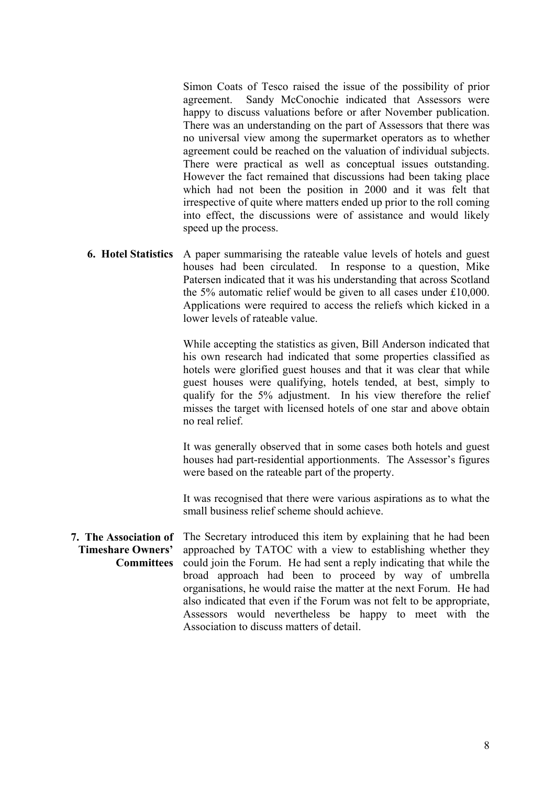Simon Coats of Tesco raised the issue of the possibility of prior agreement. Sandy McConochie indicated that Assessors were happy to discuss valuations before or after November publication. There was an understanding on the part of Assessors that there was no universal view among the supermarket operators as to whether agreement could be reached on the valuation of individual subjects. There were practical as well as conceptual issues outstanding. However the fact remained that discussions had been taking place which had not been the position in 2000 and it was felt that irrespective of quite where matters ended up prior to the roll coming into effect, the discussions were of assistance and would likely speed up the process.

**6. Hotel Statistics** A paper summarising the rateable value levels of hotels and guest houses had been circulated. In response to a question, Mike Patersen indicated that it was his understanding that across Scotland the 5% automatic relief would be given to all cases under £10,000. Applications were required to access the reliefs which kicked in a lower levels of rateable value.

> While accepting the statistics as given, Bill Anderson indicated that his own research had indicated that some properties classified as hotels were glorified guest houses and that it was clear that while guest houses were qualifying, hotels tended, at best, simply to qualify for the 5% adjustment. In his view therefore the relief misses the target with licensed hotels of one star and above obtain no real relief.

> It was generally observed that in some cases both hotels and guest houses had part-residential apportionments. The Assessor's figures were based on the rateable part of the property.

> It was recognised that there were various aspirations as to what the small business relief scheme should achieve.

**7. The Association of Timeshare Owners' Committees** The Secretary introduced this item by explaining that he had been approached by TATOC with a view to establishing whether they could join the Forum. He had sent a reply indicating that while the broad approach had been to proceed by way of umbrella organisations, he would raise the matter at the next Forum. He had also indicated that even if the Forum was not felt to be appropriate, Assessors would nevertheless be happy to meet with the Association to discuss matters of detail.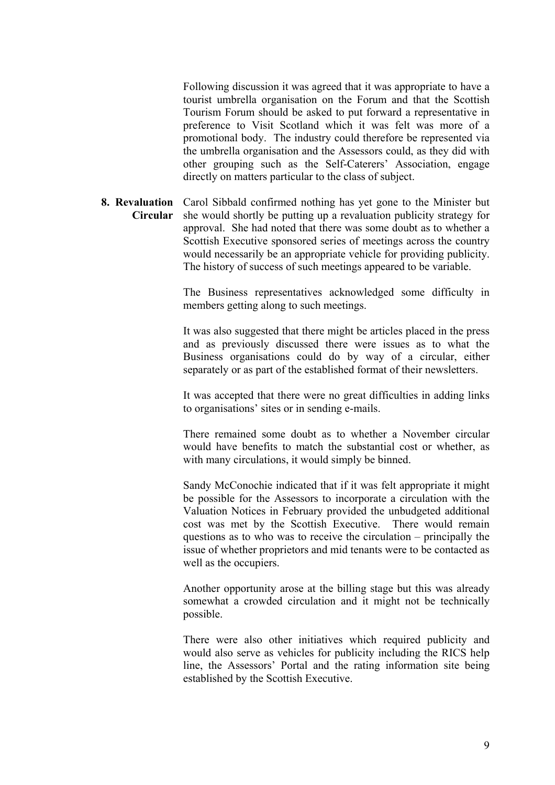Following discussion it was agreed that it was appropriate to have a tourist umbrella organisation on the Forum and that the Scottish Tourism Forum should be asked to put forward a representative in preference to Visit Scotland which it was felt was more of a promotional body. The industry could therefore be represented via the umbrella organisation and the Assessors could, as they did with other grouping such as the Self-Caterers' Association, engage directly on matters particular to the class of subject.

**8. Revaluation**  Carol Sibbald confirmed nothing has yet gone to the Minister but **Circular**  she would shortly be putting up a revaluation publicity strategy for approval. She had noted that there was some doubt as to whether a Scottish Executive sponsored series of meetings across the country would necessarily be an appropriate vehicle for providing publicity. The history of success of such meetings appeared to be variable.

> The Business representatives acknowledged some difficulty in members getting along to such meetings.

> It was also suggested that there might be articles placed in the press and as previously discussed there were issues as to what the Business organisations could do by way of a circular, either separately or as part of the established format of their newsletters.

> It was accepted that there were no great difficulties in adding links to organisations' sites or in sending e-mails.

> There remained some doubt as to whether a November circular would have benefits to match the substantial cost or whether, as with many circulations, it would simply be binned.

> Sandy McConochie indicated that if it was felt appropriate it might be possible for the Assessors to incorporate a circulation with the Valuation Notices in February provided the unbudgeted additional cost was met by the Scottish Executive. There would remain questions as to who was to receive the circulation – principally the issue of whether proprietors and mid tenants were to be contacted as well as the occupiers.

> Another opportunity arose at the billing stage but this was already somewhat a crowded circulation and it might not be technically possible.

> There were also other initiatives which required publicity and would also serve as vehicles for publicity including the RICS help line, the Assessors' Portal and the rating information site being established by the Scottish Executive.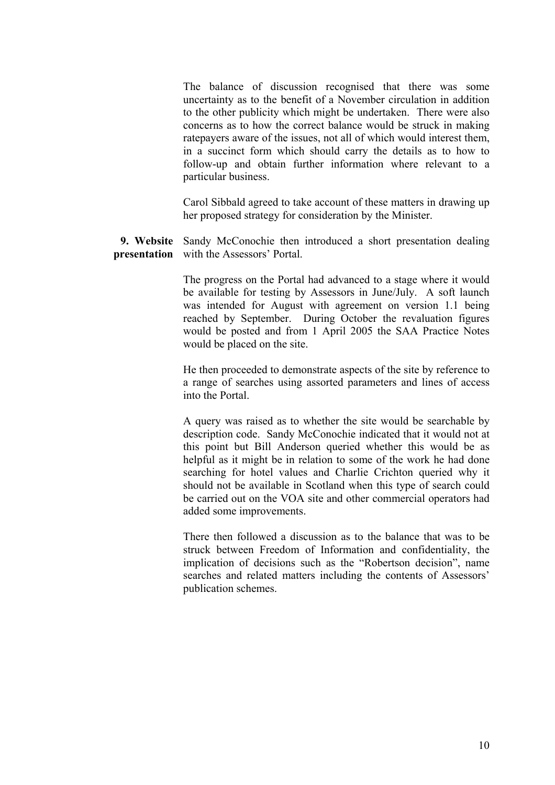The balance of discussion recognised that there was some uncertainty as to the benefit of a November circulation in addition to the other publicity which might be undertaken. There were also concerns as to how the correct balance would be struck in making ratepayers aware of the issues, not all of which would interest them, in a succinct form which should carry the details as to how to follow-up and obtain further information where relevant to a particular business.

Carol Sibbald agreed to take account of these matters in drawing up her proposed strategy for consideration by the Minister.

**9. Website**  Sandy McConochie then introduced a short presentation dealing **presentation** with the Assessors' Portal.

> The progress on the Portal had advanced to a stage where it would be available for testing by Assessors in June/July. A soft launch was intended for August with agreement on version 1.1 being reached by September. During October the revaluation figures would be posted and from 1 April 2005 the SAA Practice Notes would be placed on the site.

> He then proceeded to demonstrate aspects of the site by reference to a range of searches using assorted parameters and lines of access into the Portal.

> A query was raised as to whether the site would be searchable by description code. Sandy McConochie indicated that it would not at this point but Bill Anderson queried whether this would be as helpful as it might be in relation to some of the work he had done searching for hotel values and Charlie Crichton queried why it should not be available in Scotland when this type of search could be carried out on the VOA site and other commercial operators had added some improvements.

> There then followed a discussion as to the balance that was to be struck between Freedom of Information and confidentiality, the implication of decisions such as the "Robertson decision", name searches and related matters including the contents of Assessors' publication schemes.